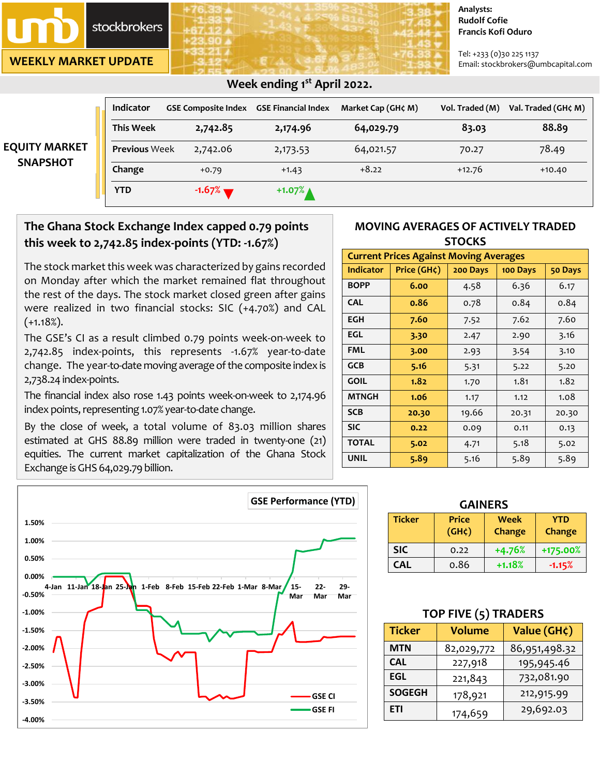stockbrokers

**WEEKLY MARKET UPDATE**

#### **Analysts: Rudolf Cofie Francis Kofi Oduro**

Tel: +233 (0)30 225 1137 Email: stockbrokers@umbcapital.com

|                      | <b>Indicator</b>     | <b>GSE Composite Index</b> | <b>GSE Financial Index</b> | Market Cap (GH¢ M) | Vol. Traded (M) | Val. Traded (GH¢ M) |
|----------------------|----------------------|----------------------------|----------------------------|--------------------|-----------------|---------------------|
|                      | <b>This Week</b>     | 2,742.85                   | 2,174.96                   | 64,029.79          | 83.03           | 88.89               |
| <b>EQUITY MARKET</b> | <b>Previous Week</b> | 2,742.06                   | 2,173.53                   | 64,021.57          | 70.27           | 78.49               |
| <b>SNAPSHOT</b>      | Change               | $+0.79$                    | $+1.43$                    | $+8.22$            | $+12.76$        | $+10.40$            |
|                      | <b>YTD</b>           | $-1.67%$                   | $+1.07%$                   |                    |                 |                     |

## *<b>Week ending 1<sup>st</sup> April 2022. Week ending 1<sup>st</sup> April 2022.*

## **The Ghana Stock Exchange Index capped 0.79 points this week to 2,742.85 index-points (YTD: -1.67%)**

The stock market this week was characterized by gains recorded on Monday after which the market remained flat throughout the rest of the days. The stock market closed green after gains were realized in two financial stocks: SIC (+4.70%) and CAL  $(+1.18\).$ 

The GSE's CI as a result climbed 0.79 points week-on-week to 2,742.85 index-points, this represents -1.67% year-to-date change. The year-to-date moving average of the composite index is 2,738.24 index-points.

The financial index also rose 1.43 points week-on-week to 2,174.96 index points, representing 1.07% year-to-date change.

By the close of week, a total volume of 83.03 million shares estimated at GHS 88.89 million were traded in twenty-one (21) equities. The current market capitalization of the Ghana Stock Exchange is GHS 64,029.79 billion.



| <b>Current Prices Against Moving Averages</b> |             |          |          |         |  |  |
|-----------------------------------------------|-------------|----------|----------|---------|--|--|
| <b>Indicator</b>                              | Price (GH¢) | 200 Days | 100 Days | 50 Days |  |  |
| <b>BOPP</b>                                   | 6.00        | 4.58     | 6.36     | 6.17    |  |  |
| <b>CAL</b>                                    | 0.86        | 0.78     | 0.84     | 0.84    |  |  |
| <b>EGH</b>                                    | 7.60        | 7.52     | 7.62     | 7.60    |  |  |
| <b>EGL</b>                                    | 3.30        | 2.47     | 2.90     | 3.16    |  |  |
| <b>FML</b>                                    | 3.00        | 2.93     | 3.54     | 3.10    |  |  |
| <b>GCB</b>                                    | 5.16        | 5.31     | 5.22     | 5.20    |  |  |
| <b>GOIL</b>                                   | 1.82        | 1.70     | 1.81     | 1.82    |  |  |
| <b>MTNGH</b>                                  | 1.06        | 1.17     | 1.12     | 1.08    |  |  |
| <b>SCB</b>                                    | 20.30       | 19.66    | 20.31    | 20.30   |  |  |
| <b>SIC</b>                                    | 0.22        | 0.09     | 0.11     | 0.13    |  |  |
| <b>TOTAL</b>                                  | 5.02        | 4.71     | 5.18     | 5.02    |  |  |
| <b>UNIL</b>                                   | 5.89        | 5.16     | 5.89     | 5.89    |  |  |

| <b>GAINERS</b>                             |                                    |                       |               |  |  |
|--------------------------------------------|------------------------------------|-----------------------|---------------|--|--|
| <b>Ticker</b>                              | <b>Price</b><br>(GH <sub>c</sub> ) | <b>Week</b><br>Change | YTD<br>Change |  |  |
| <b>SIC</b>                                 | 0.22                               | $+4.76%$              | +175.00%      |  |  |
| <b>CAL</b><br>0.86<br>$+1.18%$<br>$-1.15%$ |                                    |                       |               |  |  |

## **TOP FIVE (5) TRADERS**

| <b>Ticker</b>         | <b>Volume</b> | Value (GH¢)   |  |
|-----------------------|---------------|---------------|--|
| <b>MTN</b>            | 82,029,772    | 86,951,498.32 |  |
| 227,918<br><b>CAL</b> |               | 195,945.46    |  |
| <b>EGL</b>            | 221,843       | 732,081.90    |  |
| <b>SOGEGH</b>         | 178,921       | 212,915.99    |  |
| ETI                   | 174,659       | 29,692.03     |  |